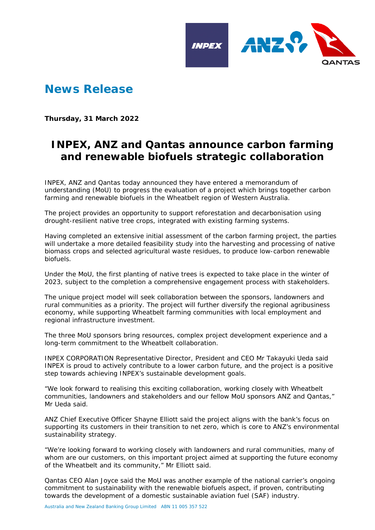

## **News Release**

**Thursday, 31 March 2022**

## **INPEX, ANZ and Qantas announce carbon farming and renewable biofuels strategic collaboration**

INPEX, ANZ and Qantas today announced they have entered a memorandum of understanding (MoU) to progress the evaluation of a project which brings together carbon farming and renewable biofuels in the Wheatbelt region of Western Australia.

The project provides an opportunity to support reforestation and decarbonisation using drought-resilient native tree crops, integrated with existing farming systems.

Having completed an extensive initial assessment of the carbon farming project, the parties will undertake a more detailed feasibility study into the harvesting and processing of native biomass crops and selected agricultural waste residues, to produce low-carbon renewable biofuels.

Under the MoU, the first planting of native trees is expected to take place in the winter of 2023, subject to the completion a comprehensive engagement process with stakeholders.

The unique project model will seek collaboration between the sponsors, landowners and rural communities as a priority. The project will further diversify the regional agribusiness economy, while supporting Wheatbelt farming communities with local employment and regional infrastructure investment.

The three MoU sponsors bring resources, complex project development experience and a long-term commitment to the Wheatbelt collaboration.

INPEX CORPORATION Representative Director, President and CEO Mr Takayuki Ueda said INPEX is proud to actively contribute to a lower carbon future, and the project is a positive step towards achieving INPEX's sustainable development goals.

"We look forward to realising this exciting collaboration, working closely with Wheatbelt communities, landowners and stakeholders and our fellow MoU sponsors ANZ and Qantas," Mr Ueda said.

ANZ Chief Executive Officer Shayne Elliott said the project aligns with the bank's focus on supporting its customers in their transition to net zero, which is core to ANZ's environmental sustainability strategy.

"We're looking forward to working closely with landowners and rural communities, many of whom are our customers, on this important project aimed at supporting the future economy of the Wheatbelt and its community," Mr Elliott said.

Qantas CEO Alan Joyce said the MoU was another example of the national carrier's ongoing commitment to sustainability with the renewable biofuels aspect, if proven, contributing towards the development of a domestic sustainable aviation fuel (SAF) industry.